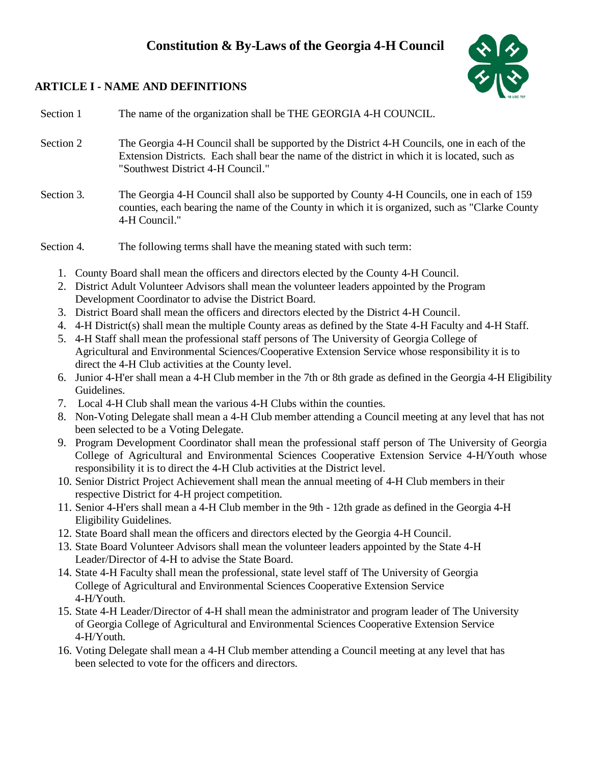# **Constitution & By-Laws of the Georgia 4-H Council**



## **ARTICLE I - NAME AND DEFINITIONS**

Section 1 The name of the organization shall be THE GEORGIA 4-H COUNCIL.

- Section 2 The Georgia 4-H Council shall be supported by the District 4-H Councils, one in each of the Extension Districts. Each shall bear the name of the district in which it is located, such as "Southwest District 4-H Council."
- Section 3. The Georgia 4-H Council shall also be supported by County 4-H Councils, one in each of 159 counties, each bearing the name of the County in which it is organized, such as "Clarke County 4-H Council."

Section 4. The following terms shall have the meaning stated with such term:

- 1. County Board shall mean the officers and directors elected by the County 4-H Council.
- 2. District Adult Volunteer Advisors shall mean the volunteer leaders appointed by the Program Development Coordinator to advise the District Board.
- 3. District Board shall mean the officers and directors elected by the District 4-H Council.
- 4. 4-H District(s) shall mean the multiple County areas as defined by the State 4-H Faculty and 4-H Staff.
- 5. 4-H Staff shall mean the professional staff persons of The University of Georgia College of Agricultural and Environmental Sciences/Cooperative Extension Service whose responsibility it is to direct the 4-H Club activities at the County level.
- 6. Junior 4-H'er shall mean a 4-H Club member in the 7th or 8th grade as defined in the Georgia 4-H Eligibility Guidelines.
- 7. Local 4-H Club shall mean the various 4-H Clubs within the counties.
- 8. Non-Voting Delegate shall mean a 4-H Club member attending a Council meeting at any level that has not been selected to be a Voting Delegate.
- 9. Program Development Coordinator shall mean the professional staff person of The University of Georgia College of Agricultural and Environmental Sciences Cooperative Extension Service 4-H/Youth whose responsibility it is to direct the 4-H Club activities at the District level.
- 10. Senior District Project Achievement shall mean the annual meeting of 4-H Club members in their respective District for 4-H project competition.
- 11. Senior 4-H'ers shall mean a 4-H Club member in the 9th 12th grade as defined in the Georgia 4-H Eligibility Guidelines.
- 12. State Board shall mean the officers and directors elected by the Georgia 4-H Council.
- 13. State Board Volunteer Advisors shall mean the volunteer leaders appointed by the State 4-H Leader/Director of 4-H to advise the State Board.
- 14. State 4-H Faculty shall mean the professional, state level staff of The University of Georgia College of Agricultural and Environmental Sciences Cooperative Extension Service 4-H/Youth.
- 15. State 4-H Leader/Director of 4-H shall mean the administrator and program leader of The University of Georgia College of Agricultural and Environmental Sciences Cooperative Extension Service 4-H/Youth.
- 16. Voting Delegate shall mean a 4-H Club member attending a Council meeting at any level that has been selected to vote for the officers and directors.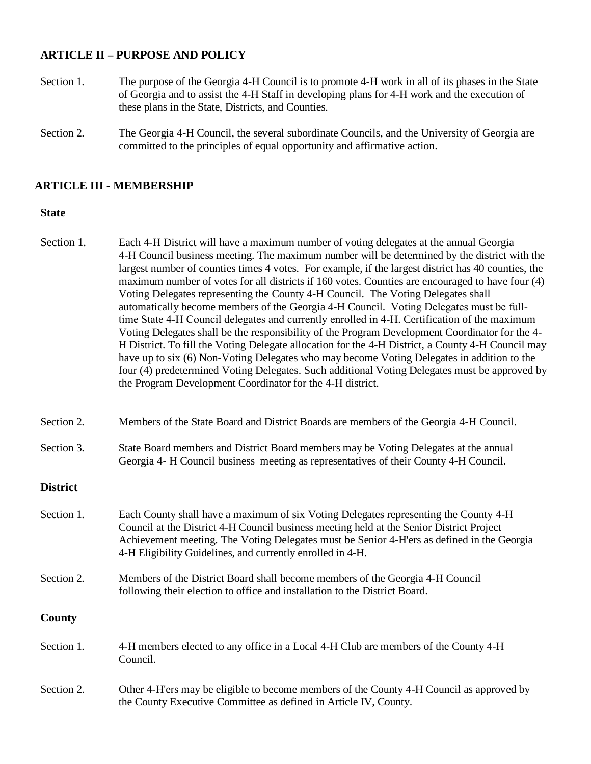### **ARTICLE II – PURPOSE AND POLICY**

- Section 1. The purpose of the Georgia 4-H Council is to promote 4-H work in all of its phases in the State of Georgia and to assist the 4-H Staff in developing plans for 4-H work and the execution of these plans in the State, Districts, and Counties.
- Section 2. The Georgia 4-H Council, the several subordinate Councils, and the University of Georgia are committed to the principles of equal opportunity and affirmative action.

### **ARTICLE III - MEMBERSHIP**

| Section 1.      | Each 4-H District will have a maximum number of voting delegates at the annual Georgia<br>4-H Council business meeting. The maximum number will be determined by the district with the<br>largest number of counties times 4 votes. For example, if the largest district has 40 counties, the<br>maximum number of votes for all districts if 160 votes. Counties are encouraged to have four (4)<br>Voting Delegates representing the County 4-H Council. The Voting Delegates shall<br>automatically become members of the Georgia 4-H Council. Voting Delegates must be full-<br>time State 4-H Council delegates and currently enrolled in 4-H. Certification of the maximum<br>Voting Delegates shall be the responsibility of the Program Development Coordinator for the 4-<br>H District. To fill the Voting Delegate allocation for the 4-H District, a County 4-H Council may<br>have up to six (6) Non-Voting Delegates who may become Voting Delegates in addition to the<br>four (4) predetermined Voting Delegates. Such additional Voting Delegates must be approved by<br>the Program Development Coordinator for the 4-H district. |
|-----------------|-----------------------------------------------------------------------------------------------------------------------------------------------------------------------------------------------------------------------------------------------------------------------------------------------------------------------------------------------------------------------------------------------------------------------------------------------------------------------------------------------------------------------------------------------------------------------------------------------------------------------------------------------------------------------------------------------------------------------------------------------------------------------------------------------------------------------------------------------------------------------------------------------------------------------------------------------------------------------------------------------------------------------------------------------------------------------------------------------------------------------------------------------------|
| Section 2.      | Members of the State Board and District Boards are members of the Georgia 4-H Council.                                                                                                                                                                                                                                                                                                                                                                                                                                                                                                                                                                                                                                                                                                                                                                                                                                                                                                                                                                                                                                                              |
| Section 3.      | State Board members and District Board members may be Voting Delegates at the annual<br>Georgia 4- H Council business meeting as representatives of their County 4-H Council.                                                                                                                                                                                                                                                                                                                                                                                                                                                                                                                                                                                                                                                                                                                                                                                                                                                                                                                                                                       |
| <b>District</b> |                                                                                                                                                                                                                                                                                                                                                                                                                                                                                                                                                                                                                                                                                                                                                                                                                                                                                                                                                                                                                                                                                                                                                     |
| Section 1.      | Each County shall have a maximum of six Voting Delegates representing the County 4-H<br>Council at the District 4-H Council business meeting held at the Senior District Project<br>Achievement meeting. The Voting Delegates must be Senior 4-H'ers as defined in the Georgia<br>4-H Eligibility Guidelines, and currently enrolled in 4-H.                                                                                                                                                                                                                                                                                                                                                                                                                                                                                                                                                                                                                                                                                                                                                                                                        |
| Section 2.      | Members of the District Board shall become members of the Georgia 4-H Council<br>following their election to office and installation to the District Board.                                                                                                                                                                                                                                                                                                                                                                                                                                                                                                                                                                                                                                                                                                                                                                                                                                                                                                                                                                                         |
| <b>County</b>   |                                                                                                                                                                                                                                                                                                                                                                                                                                                                                                                                                                                                                                                                                                                                                                                                                                                                                                                                                                                                                                                                                                                                                     |
| Section 1.      | 4-H members elected to any office in a Local 4-H Club are members of the County 4-H<br>Council.                                                                                                                                                                                                                                                                                                                                                                                                                                                                                                                                                                                                                                                                                                                                                                                                                                                                                                                                                                                                                                                     |
| Section 2.      | Other 4-H'ers may be eligible to become members of the County 4-H Council as approved by<br>the County Executive Committee as defined in Article IV, County.                                                                                                                                                                                                                                                                                                                                                                                                                                                                                                                                                                                                                                                                                                                                                                                                                                                                                                                                                                                        |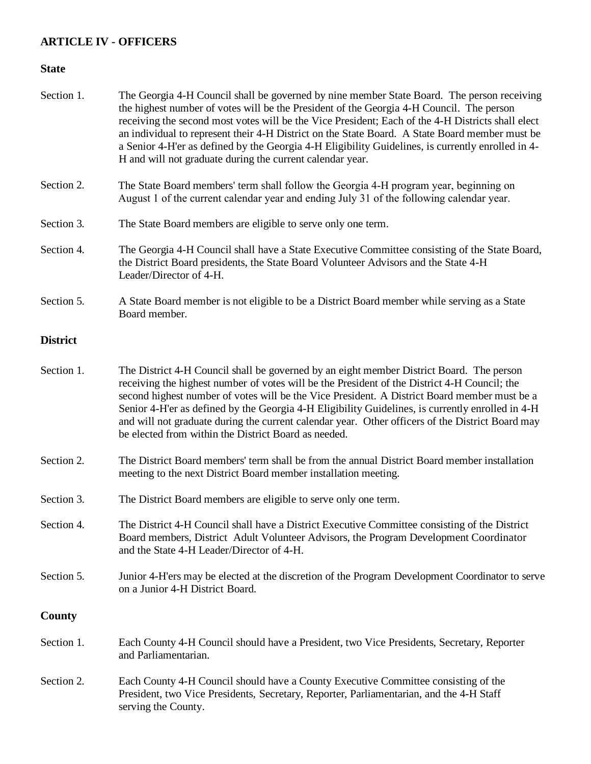## **ARTICLE IV - OFFICERS**

| Section 1.      | The Georgia 4-H Council shall be governed by nine member State Board. The person receiving<br>the highest number of votes will be the President of the Georgia 4-H Council. The person<br>receiving the second most votes will be the Vice President; Each of the 4-H Districts shall elect<br>an individual to represent their 4-H District on the State Board. A State Board member must be<br>a Senior 4-H'er as defined by the Georgia 4-H Eligibility Guidelines, is currently enrolled in 4-<br>H and will not graduate during the current calendar year. |
|-----------------|-----------------------------------------------------------------------------------------------------------------------------------------------------------------------------------------------------------------------------------------------------------------------------------------------------------------------------------------------------------------------------------------------------------------------------------------------------------------------------------------------------------------------------------------------------------------|
| Section 2.      | The State Board members' term shall follow the Georgia 4-H program year, beginning on<br>August 1 of the current calendar year and ending July 31 of the following calendar year.                                                                                                                                                                                                                                                                                                                                                                               |
| Section 3.      | The State Board members are eligible to serve only one term.                                                                                                                                                                                                                                                                                                                                                                                                                                                                                                    |
| Section 4.      | The Georgia 4-H Council shall have a State Executive Committee consisting of the State Board,<br>the District Board presidents, the State Board Volunteer Advisors and the State 4-H<br>Leader/Director of 4-H.                                                                                                                                                                                                                                                                                                                                                 |
| Section 5.      | A State Board member is not eligible to be a District Board member while serving as a State<br>Board member.                                                                                                                                                                                                                                                                                                                                                                                                                                                    |
| <b>District</b> |                                                                                                                                                                                                                                                                                                                                                                                                                                                                                                                                                                 |
| Section 1.      | The District 4-H Council shall be governed by an eight member District Board. The person<br>receiving the highest number of votes will be the President of the District 4-H Council; the<br>second highest number of votes will be the Vice President. A District Board member must be a<br>Senior 4-H'er as defined by the Georgia 4-H Eligibility Guidelines, is currently enrolled in 4-H<br>and will not graduate during the current calendar year. Other officers of the District Board may<br>be elected from within the District Board as needed.        |
| Section 2.      | The District Board members' term shall be from the annual District Board member installation<br>meeting to the next District Board member installation meeting.                                                                                                                                                                                                                                                                                                                                                                                                 |
| Section 3.      | The District Board members are eligible to serve only one term.                                                                                                                                                                                                                                                                                                                                                                                                                                                                                                 |
| Section 4.      | The District 4-H Council shall have a District Executive Committee consisting of the District<br>Board members, District Adult Volunteer Advisors, the Program Development Coordinator<br>and the State 4-H Leader/Director of 4-H.                                                                                                                                                                                                                                                                                                                             |
| Section 5.      | Junior 4-H'ers may be elected at the discretion of the Program Development Coordinator to serve<br>on a Junior 4-H District Board.                                                                                                                                                                                                                                                                                                                                                                                                                              |
| <b>County</b>   |                                                                                                                                                                                                                                                                                                                                                                                                                                                                                                                                                                 |
| Section 1.      | Each County 4-H Council should have a President, two Vice Presidents, Secretary, Reporter<br>and Parliamentarian.                                                                                                                                                                                                                                                                                                                                                                                                                                               |
| Section 2.      | Each County 4-H Council should have a County Executive Committee consisting of the<br>President, two Vice Presidents, Secretary, Reporter, Parliamentarian, and the 4-H Staff<br>serving the County.                                                                                                                                                                                                                                                                                                                                                            |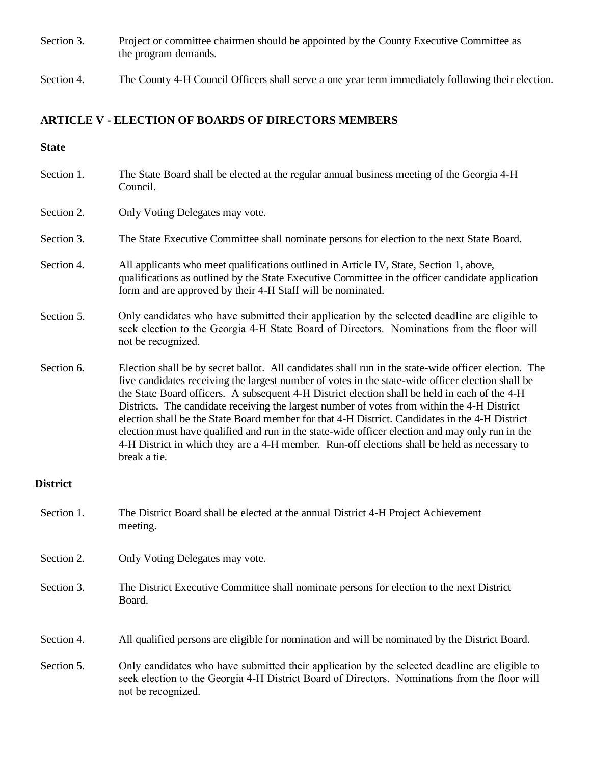- Section 3. Project or committee chairmen should be appointed by the County Executive Committee as the program demands.
- Section 4. The County 4-H Council Officers shall serve a one year term immediately following their election.

#### **ARTICLE V - ELECTION OF BOARDS OF DIRECTORS MEMBERS**

- Section 1. The State Board shall be elected at the regular annual business meeting of the Georgia 4-H Council. Section 2. Only Voting Delegates may vote. Section 3. The State Executive Committee shall nominate persons for election to the next State Board. Section 4. All applicants who meet qualifications outlined in Article IV, State, Section 1, above, qualifications as outlined by the State Executive Committee in the officer candidate application form and are approved by their 4-H Staff will be nominated. Section 5. Only candidates who have submitted their application by the selected deadline are eligible to seek election to the Georgia 4-H State Board of Directors. Nominations from the floor will not be recognized. Section 6. Election shall be by secret ballot. All candidates shall run in the state-wide officer election. The five candidates receiving the largest number of votes in the state-wide officer election shall be the State Board officers. A subsequent 4-H District election shall be held in each of the 4-H Districts. The candidate receiving the largest number of votes from within the 4-H District election shall be the State Board member for that 4-H District. Candidates in the 4-H District election must have qualified and run in the state-wide officer election and may only run in the 4-H District in which they are a 4-H member. Run-off elections shall be held as necessary to break a tie. **District**
- Section 1. The District Board shall be elected at the annual District 4-H Project Achievement meeting.
- Section 2. Only Voting Delegates may vote.
- Section 3. The District Executive Committee shall nominate persons for election to the next District Board.
- Section 4. All qualified persons are eligible for nomination and will be nominated by the District Board.
- Section 5. Only candidates who have submitted their application by the selected deadline are eligible to seek election to the Georgia 4-H District Board of Directors. Nominations from the floor will not be recognized.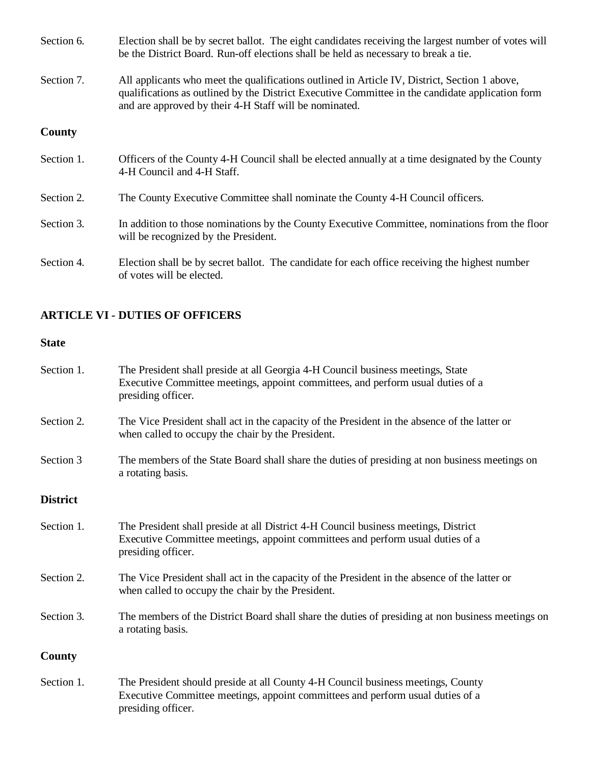- Section 6. Election shall be by secret ballot. The eight candidates receiving the largest number of votes will be the District Board. Run-off elections shall be held as necessary to break a tie.
- Section 7. All applicants who meet the qualifications outlined in Article IV, District, Section 1 above, qualifications as outlined by the District Executive Committee in the candidate application form and are approved by their 4-H Staff will be nominated.

### **County**

- Section 1. Officers of the County 4-H Council shall be elected annually at a time designated by the County 4-H Council and 4-H Staff.
- Section 2. The County Executive Committee shall nominate the County 4-H Council officers.
- Section 3. In addition to those nominations by the County Executive Committee, nominations from the floor will be recognized by the President.
- Section 4. Election shall be by secret ballot. The candidate for each office receiving the highest number of votes will be elected.

### **ARTICLE VI - DUTIES OF OFFICERS**

#### **State**

| Section 1.      | The President shall preside at all Georgia 4-H Council business meetings, State<br>Executive Committee meetings, appoint committees, and perform usual duties of a<br>presiding officer.    |
|-----------------|---------------------------------------------------------------------------------------------------------------------------------------------------------------------------------------------|
| Section 2.      | The Vice President shall act in the capacity of the President in the absence of the latter or<br>when called to occupy the chair by the President.                                          |
| Section 3       | The members of the State Board shall share the duties of presiding at non business meetings on<br>a rotating basis.                                                                         |
| <b>District</b> |                                                                                                                                                                                             |
| Section 1.      | The President shall preside at all District 4-H Council business meetings, District<br>Executive Committee meetings, appoint committees and perform usual duties of a<br>presiding officer. |
| Section 2.      | The Vice President shall act in the capacity of the President in the absence of the latter or<br>when called to occupy the chair by the President.                                          |
| Section 3.      | The members of the District Board shall share the duties of presiding at non business meetings on<br>a rotating basis.                                                                      |
| County          |                                                                                                                                                                                             |
| Section 1.      | The President should preside at all County 4-H Council business meetings, County<br>Executive Committee meetings, appoint committees and perform usual duties of a                          |

presiding officer.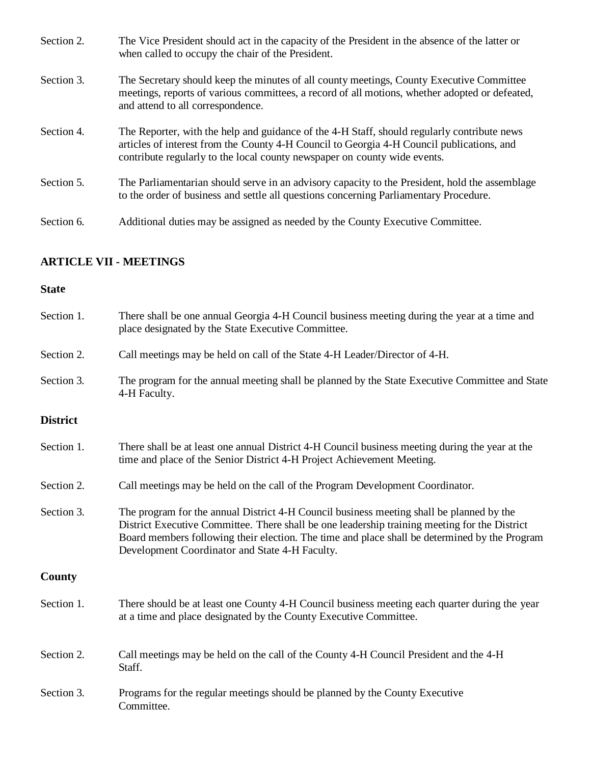| Section 2. | The Vice President should act in the capacity of the President in the absence of the latter or<br>when called to occupy the chair of the President.                                                                                                                   |
|------------|-----------------------------------------------------------------------------------------------------------------------------------------------------------------------------------------------------------------------------------------------------------------------|
| Section 3. | The Secretary should keep the minutes of all county meetings, County Executive Committee<br>meetings, reports of various committees, a record of all motions, whether adopted or defeated,<br>and attend to all correspondence.                                       |
| Section 4. | The Reporter, with the help and guidance of the 4-H Staff, should regularly contribute news<br>articles of interest from the County 4-H Council to Georgia 4-H Council publications, and<br>contribute regularly to the local county newspaper on county wide events. |
| Section 5. | The Parliamentarian should serve in an advisory capacity to the President, hold the assemblage<br>to the order of business and settle all questions concerning Parliamentary Procedure.                                                                               |
| Section 6. | Additional duties may be assigned as needed by the County Executive Committee.                                                                                                                                                                                        |

## **ARTICLE VII - MEETINGS**

| Section 1.      | There shall be one annual Georgia 4-H Council business meeting during the year at a time and<br>place designated by the State Executive Committee.                                                                                                                                                                                           |
|-----------------|----------------------------------------------------------------------------------------------------------------------------------------------------------------------------------------------------------------------------------------------------------------------------------------------------------------------------------------------|
| Section 2.      | Call meetings may be held on call of the State 4-H Leader/Director of 4-H.                                                                                                                                                                                                                                                                   |
| Section 3.      | The program for the annual meeting shall be planned by the State Executive Committee and State<br>4-H Faculty.                                                                                                                                                                                                                               |
| <b>District</b> |                                                                                                                                                                                                                                                                                                                                              |
| Section 1.      | There shall be at least one annual District 4-H Council business meeting during the year at the<br>time and place of the Senior District 4-H Project Achievement Meeting.                                                                                                                                                                    |
| Section 2.      | Call meetings may be held on the call of the Program Development Coordinator.                                                                                                                                                                                                                                                                |
| Section 3.      | The program for the annual District 4-H Council business meeting shall be planned by the<br>District Executive Committee. There shall be one leadership training meeting for the District<br>Board members following their election. The time and place shall be determined by the Program<br>Development Coordinator and State 4-H Faculty. |
| County          |                                                                                                                                                                                                                                                                                                                                              |
| Section 1.      | There should be at least one County 4-H Council business meeting each quarter during the year<br>at a time and place designated by the County Executive Committee.                                                                                                                                                                           |
| Section 2.      | Call meetings may be held on the call of the County 4-H Council President and the 4-H<br>Staff.                                                                                                                                                                                                                                              |
| Section 3.      | Programs for the regular meetings should be planned by the County Executive<br>Committee.                                                                                                                                                                                                                                                    |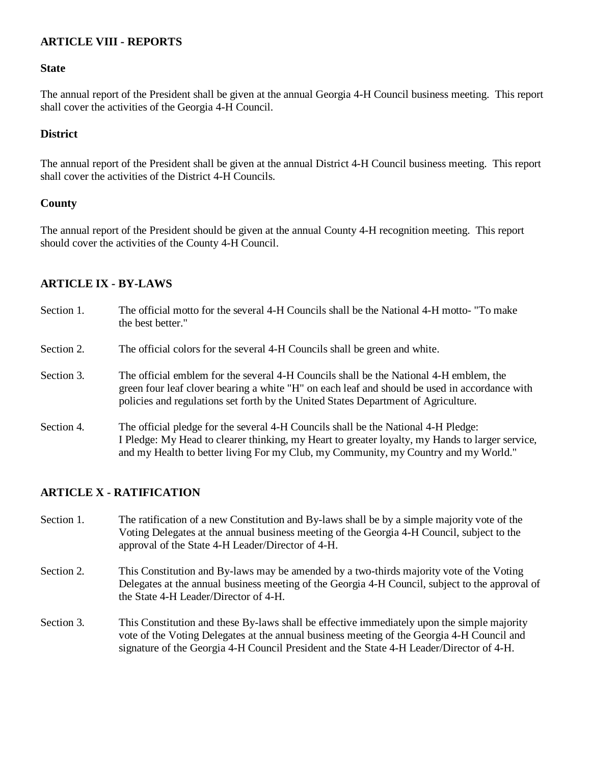## **ARTICLE VIII - REPORTS**

#### **State**

The annual report of the President shall be given at the annual Georgia 4-H Council business meeting. This report shall cover the activities of the Georgia 4-H Council.

### **District**

The annual report of the President shall be given at the annual District 4-H Council business meeting. This report shall cover the activities of the District 4-H Councils.

#### **County**

The annual report of the President should be given at the annual County 4-H recognition meeting. This report should cover the activities of the County 4-H Council.

### **ARTICLE IX - BY-LAWS**

| Section 1. | The official motto for the several 4-H Councils shall be the National 4-H motto- "To make"<br>the best better."                                                                                                                                                               |
|------------|-------------------------------------------------------------------------------------------------------------------------------------------------------------------------------------------------------------------------------------------------------------------------------|
| Section 2. | The official colors for the several 4-H Councils shall be green and white.                                                                                                                                                                                                    |
| Section 3. | The official emblem for the several 4-H Councils shall be the National 4-H emblem, the<br>green four leaf clover bearing a white "H" on each leaf and should be used in accordance with<br>policies and regulations set forth by the United States Department of Agriculture. |
| Section 4. | The official pledge for the several 4-H Councils shall be the National 4-H Pledge:<br>I Pledge: My Head to clearer thinking, my Heart to greater loyalty, my Hands to larger service,<br>and my Health to better living For my Club, my Community, my Country and my World."  |

### **ARTICLE X - RATIFICATION**

- Section 1. The ratification of a new Constitution and By-laws shall be by a simple majority vote of the Voting Delegates at the annual business meeting of the Georgia 4-H Council, subject to the approval of the State 4-H Leader/Director of 4-H.
- Section 2. This Constitution and By-laws may be amended by a two-thirds majority vote of the Voting Delegates at the annual business meeting of the Georgia 4-H Council, subject to the approval of the State 4-H Leader/Director of 4-H.
- Section 3. This Constitution and these By-laws shall be effective immediately upon the simple majority vote of the Voting Delegates at the annual business meeting of the Georgia 4-H Council and signature of the Georgia 4-H Council President and the State 4-H Leader/Director of 4-H.